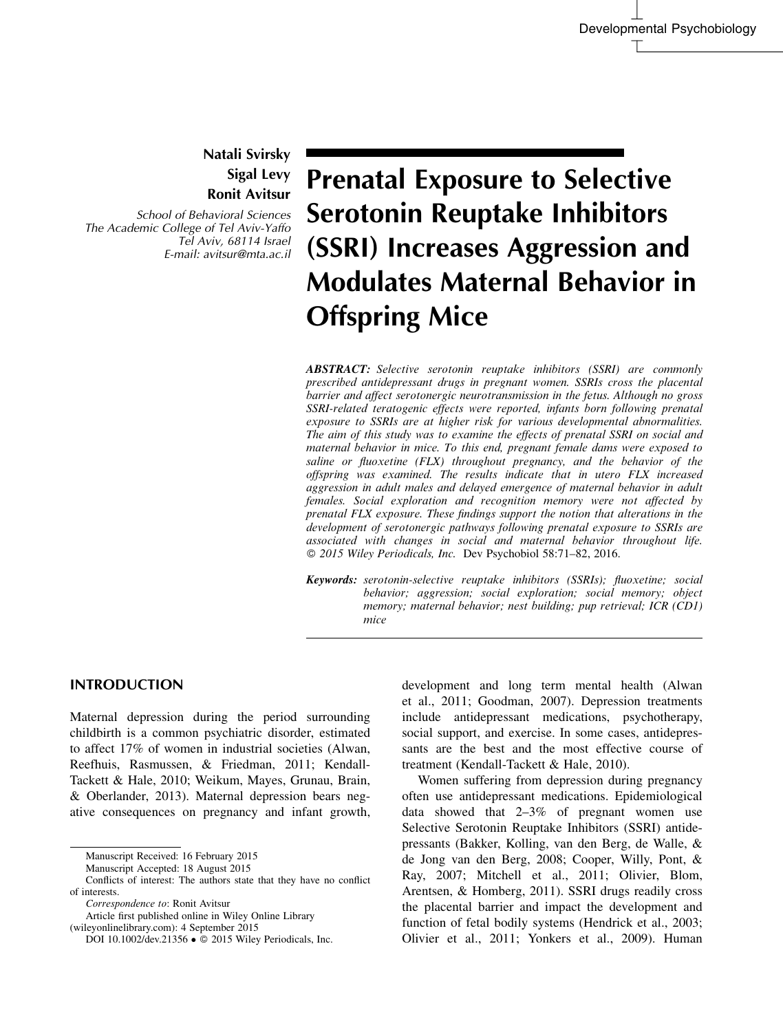## Natali Svirsky Sigal Levy Ronit Avitsur

School of Behavioral Sciences The Academic College of Tel Aviv-Yaffo Tel Aviv, 68114 Israel E-mail: avitsur@mta.ac.il

# Prenatal Exposure to Selective Serotonin Reuptake Inhibitors (SSRI) Increases Aggression and Modulates Maternal Behavior in Offspring Mice

ABSTRACT: Selective serotonin reuptake inhibitors (SSRI) are commonly prescribed antidepressant drugs in pregnant women. SSRIs cross the placental barrier and affect serotonergic neurotransmission in the fetus. Although no gross SSRI-related teratogenic effects were reported, infants born following prenatal exposure to SSRIs are at higher risk for various developmental abnormalities. The aim of this study was to examine the effects of prenatal SSRI on social and maternal behavior in mice. To this end, pregnant female dams were exposed to saline or fluoxetine (FLX) throughout pregnancy, and the behavior of the offspring was examined. The results indicate that in utero FLX increased aggression in adult males and delayed emergence of maternal behavior in adult females. Social exploration and recognition memory were not affected by prenatal FLX exposure. These findings support the notion that alterations in the development of serotonergic pathways following prenatal exposure to SSRIs are associated with changes in social and maternal behavior throughout life. 2015 Wiley Periodicals, Inc. Dev Psychobiol 58:71–82, 2016.

Keywords: serotonin-selective reuptake inhibitors (SSRIs); fluoxetine; social behavior; aggression; social exploration; social memory; object memory; maternal behavior; nest building; pup retrieval; ICR (CD1) mice

### INTRODUCTION

Maternal depression during the period surrounding childbirth is a common psychiatric disorder, estimated to affect 17% of women in industrial societies (Alwan, Reefhuis, Rasmussen, & Friedman, 2011; Kendall-Tackett & Hale, 2010; Weikum, Mayes, Grunau, Brain, & Oberlander, 2013). Maternal depression bears negative consequences on pregnancy and infant growth,

Correspondence to: Ronit Avitsur

development and long term mental health (Alwan et al., 2011; Goodman, 2007). Depression treatments include antidepressant medications, psychotherapy, social support, and exercise. In some cases, antidepressants are the best and the most effective course of treatment (Kendall-Tackett & Hale, 2010).

Women suffering from depression during pregnancy often use antidepressant medications. Epidemiological data showed that 2–3% of pregnant women use Selective Serotonin Reuptake Inhibitors (SSRI) antidepressants (Bakker, Kolling, van den Berg, de Walle, & de Jong van den Berg, 2008; Cooper, Willy, Pont, & Ray, 2007; Mitchell et al., 2011; Olivier, Blom, Arentsen, & Homberg, 2011). SSRI drugs readily cross the placental barrier and impact the development and function of fetal bodily systems (Hendrick et al., 2003; Olivier et al., 2011; Yonkers et al., 2009). Human

Manuscript Received: 16 February 2015

Manuscript Accepted: 18 August 2015

Conflicts of interest: The authors state that they have no conflict of interests.

Article first published online in Wiley Online Library (wileyonlinelibrary.com): 4 September 2015

DOI 10.1002/dev.21356 . 2015 Wiley Periodicals, Inc.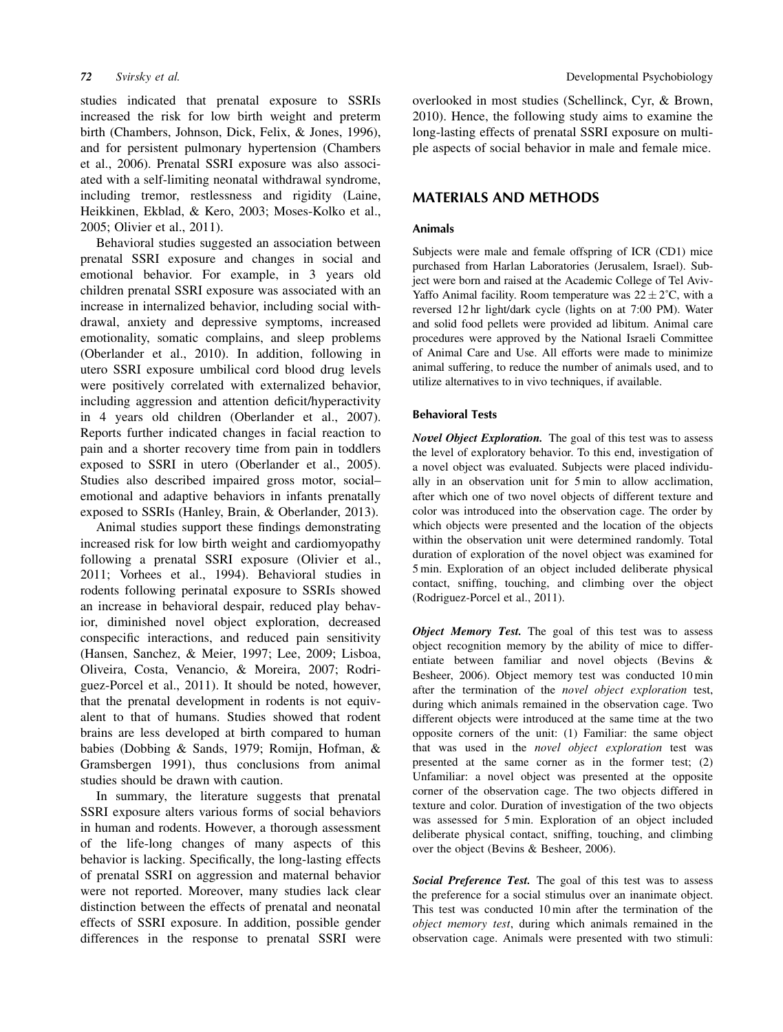studies indicated that prenatal exposure to SSRIs increased the risk for low birth weight and preterm birth (Chambers, Johnson, Dick, Felix, & Jones, 1996), and for persistent pulmonary hypertension (Chambers et al., 2006). Prenatal SSRI exposure was also associated with a self-limiting neonatal withdrawal syndrome, including tremor, restlessness and rigidity (Laine, Heikkinen, Ekblad, & Kero, 2003; Moses-Kolko et al., 2005; Olivier et al., 2011).

Behavioral studies suggested an association between prenatal SSRI exposure and changes in social and emotional behavior. For example, in 3 years old children prenatal SSRI exposure was associated with an increase in internalized behavior, including social withdrawal, anxiety and depressive symptoms, increased emotionality, somatic complains, and sleep problems (Oberlander et al., 2010). In addition, following in utero SSRI exposure umbilical cord blood drug levels were positively correlated with externalized behavior, including aggression and attention deficit/hyperactivity in 4 years old children (Oberlander et al., 2007). Reports further indicated changes in facial reaction to pain and a shorter recovery time from pain in toddlers exposed to SSRI in utero (Oberlander et al., 2005). Studies also described impaired gross motor, social– emotional and adaptive behaviors in infants prenatally exposed to SSRIs (Hanley, Brain, & Oberlander, 2013).

Animal studies support these findings demonstrating increased risk for low birth weight and cardiomyopathy following a prenatal SSRI exposure (Olivier et al., 2011; Vorhees et al., 1994). Behavioral studies in rodents following perinatal exposure to SSRIs showed an increase in behavioral despair, reduced play behavior, diminished novel object exploration, decreased conspecific interactions, and reduced pain sensitivity (Hansen, Sanchez, & Meier, 1997; Lee, 2009; Lisboa, Oliveira, Costa, Venancio, & Moreira, 2007; Rodriguez-Porcel et al., 2011). It should be noted, however, that the prenatal development in rodents is not equivalent to that of humans. Studies showed that rodent brains are less developed at birth compared to human babies (Dobbing & Sands, 1979; Romijn, Hofman, & Gramsbergen 1991), thus conclusions from animal studies should be drawn with caution.

In summary, the literature suggests that prenatal SSRI exposure alters various forms of social behaviors in human and rodents. However, a thorough assessment of the life-long changes of many aspects of this behavior is lacking. Specifically, the long-lasting effects of prenatal SSRI on aggression and maternal behavior were not reported. Moreover, many studies lack clear distinction between the effects of prenatal and neonatal effects of SSRI exposure. In addition, possible gender differences in the response to prenatal SSRI were overlooked in most studies (Schellinck, Cyr, & Brown, 2010). Hence, the following study aims to examine the long-lasting effects of prenatal SSRI exposure on multiple aspects of social behavior in male and female mice.

#### MATERIALS AND METHODS

#### Animals

Subjects were male and female offspring of ICR (CD1) mice purchased from Harlan Laboratories (Jerusalem, Israel). Subject were born and raised at the Academic College of Tel Aviv-Yaffo Animal facility. Room temperature was  $22 \pm 2^{\circ}C$ , with a reversed 12 hr light/dark cycle (lights on at 7:00 PM). Water and solid food pellets were provided ad libitum. Animal care procedures were approved by the National Israeli Committee of Animal Care and Use. All efforts were made to minimize animal suffering, to reduce the number of animals used, and to utilize alternatives to in vivo techniques, if available.

#### Behavioral Tests

Novel Object Exploration. The goal of this test was to assess the level of exploratory behavior. To this end, investigation of a novel object was evaluated. Subjects were placed individually in an observation unit for 5 min to allow acclimation, after which one of two novel objects of different texture and color was introduced into the observation cage. The order by which objects were presented and the location of the objects within the observation unit were determined randomly. Total duration of exploration of the novel object was examined for 5 min. Exploration of an object included deliberate physical contact, sniffing, touching, and climbing over the object (Rodriguez-Porcel et al., 2011).

Object Memory Test. The goal of this test was to assess object recognition memory by the ability of mice to differentiate between familiar and novel objects (Bevins & Besheer, 2006). Object memory test was conducted 10 min after the termination of the novel object exploration test, during which animals remained in the observation cage. Two different objects were introduced at the same time at the two opposite corners of the unit: (1) Familiar: the same object that was used in the novel object exploration test was presented at the same corner as in the former test; (2) Unfamiliar: a novel object was presented at the opposite corner of the observation cage. The two objects differed in texture and color. Duration of investigation of the two objects was assessed for 5 min. Exploration of an object included deliberate physical contact, sniffing, touching, and climbing over the object (Bevins & Besheer, 2006).

Social Preference Test. The goal of this test was to assess the preference for a social stimulus over an inanimate object. This test was conducted 10 min after the termination of the object memory test, during which animals remained in the observation cage. Animals were presented with two stimuli: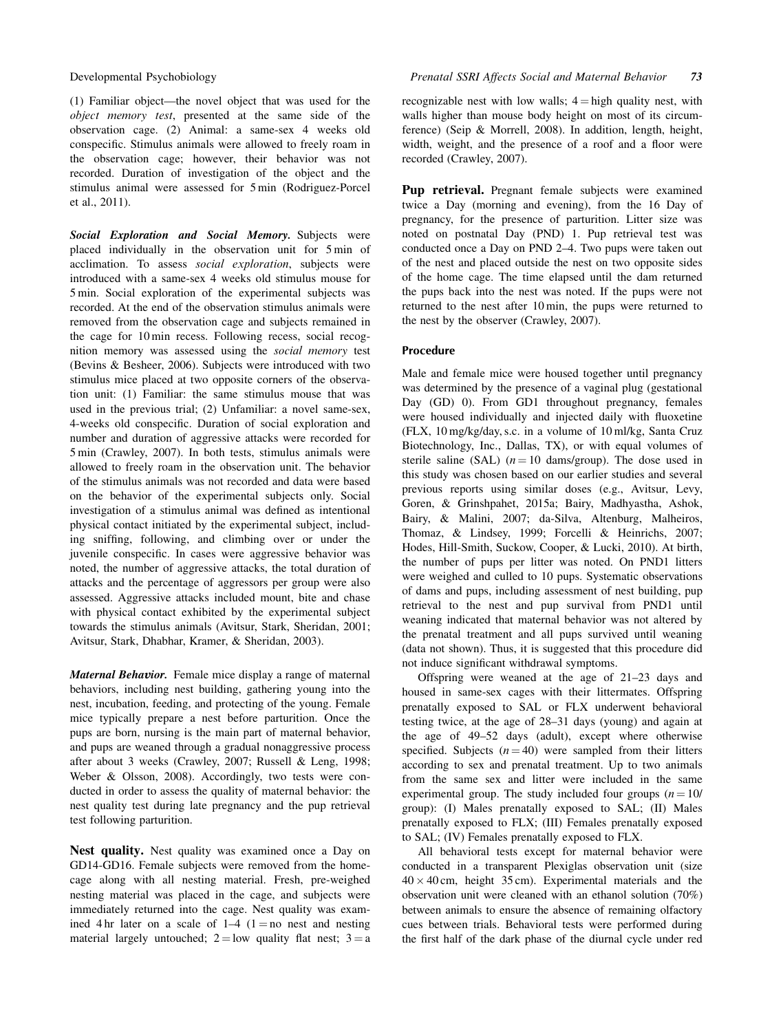(1) Familiar object—the novel object that was used for the object memory test, presented at the same side of the observation cage. (2) Animal: a same-sex 4 weeks old conspecific. Stimulus animals were allowed to freely roam in the observation cage; however, their behavior was not recorded. Duration of investigation of the object and the stimulus animal were assessed for 5 min (Rodriguez-Porcel et al., 2011).

Social Exploration and Social Memory. Subjects were placed individually in the observation unit for 5 min of acclimation. To assess social exploration, subjects were introduced with a same-sex 4 weeks old stimulus mouse for 5 min. Social exploration of the experimental subjects was recorded. At the end of the observation stimulus animals were removed from the observation cage and subjects remained in the cage for 10 min recess. Following recess, social recognition memory was assessed using the social memory test (Bevins & Besheer, 2006). Subjects were introduced with two stimulus mice placed at two opposite corners of the observation unit: (1) Familiar: the same stimulus mouse that was used in the previous trial; (2) Unfamiliar: a novel same-sex, 4-weeks old conspecific. Duration of social exploration and number and duration of aggressive attacks were recorded for 5 min (Crawley, 2007). In both tests, stimulus animals were allowed to freely roam in the observation unit. The behavior of the stimulus animals was not recorded and data were based on the behavior of the experimental subjects only. Social investigation of a stimulus animal was defined as intentional physical contact initiated by the experimental subject, including sniffing, following, and climbing over or under the juvenile conspecific. In cases were aggressive behavior was noted, the number of aggressive attacks, the total duration of attacks and the percentage of aggressors per group were also assessed. Aggressive attacks included mount, bite and chase with physical contact exhibited by the experimental subject towards the stimulus animals (Avitsur, Stark, Sheridan, 2001; Avitsur, Stark, Dhabhar, Kramer, & Sheridan, 2003).

Maternal Behavior. Female mice display a range of maternal behaviors, including nest building, gathering young into the nest, incubation, feeding, and protecting of the young. Female mice typically prepare a nest before parturition. Once the pups are born, nursing is the main part of maternal behavior, and pups are weaned through a gradual nonaggressive process after about 3 weeks (Crawley, 2007; Russell & Leng, 1998; Weber & Olsson, 2008). Accordingly, two tests were conducted in order to assess the quality of maternal behavior: the nest quality test during late pregnancy and the pup retrieval test following parturition.

Nest quality. Nest quality was examined once a Day on GD14-GD16. Female subjects were removed from the homecage along with all nesting material. Fresh, pre-weighed nesting material was placed in the cage, and subjects were immediately returned into the cage. Nest quality was examined 4 hr later on a scale of  $1-4$  ( $1 =$ no nest and nesting material largely untouched;  $2 =$ low quality flat nest;  $3 = a$  recognizable nest with low walls;  $4 =$ high quality nest, with walls higher than mouse body height on most of its circumference) (Seip & Morrell, 2008). In addition, length, height, width, weight, and the presence of a roof and a floor were recorded (Crawley, 2007).

Pup retrieval. Pregnant female subjects were examined twice a Day (morning and evening), from the 16 Day of pregnancy, for the presence of parturition. Litter size was noted on postnatal Day (PND) 1. Pup retrieval test was conducted once a Day on PND 2–4. Two pups were taken out of the nest and placed outside the nest on two opposite sides of the home cage. The time elapsed until the dam returned the pups back into the nest was noted. If the pups were not returned to the nest after 10 min, the pups were returned to the nest by the observer (Crawley, 2007).

#### Procedure

Male and female mice were housed together until pregnancy was determined by the presence of a vaginal plug (gestational Day (GD) 0). From GD1 throughout pregnancy, females were housed individually and injected daily with fluoxetine (FLX, 10 mg/kg/day, s.c. in a volume of 10 ml/kg, Santa Cruz Biotechnology, Inc., Dallas, TX), or with equal volumes of sterile saline (SAL)  $(n = 10 \text{ dam/group})$ . The dose used in this study was chosen based on our earlier studies and several previous reports using similar doses (e.g., Avitsur, Levy, Goren, & Grinshpahet, 2015a; Bairy, Madhyastha, Ashok, Bairy, & Malini, 2007; da-Silva, Altenburg, Malheiros, Thomaz, & Lindsey, 1999; Forcelli & Heinrichs, 2007; Hodes, Hill-Smith, Suckow, Cooper, & Lucki, 2010). At birth, the number of pups per litter was noted. On PND1 litters were weighed and culled to 10 pups. Systematic observations of dams and pups, including assessment of nest building, pup retrieval to the nest and pup survival from PND1 until weaning indicated that maternal behavior was not altered by the prenatal treatment and all pups survived until weaning (data not shown). Thus, it is suggested that this procedure did not induce significant withdrawal symptoms.

Offspring were weaned at the age of 21–23 days and housed in same-sex cages with their littermates. Offspring prenatally exposed to SAL or FLX underwent behavioral testing twice, at the age of 28–31 days (young) and again at the age of 49–52 days (adult), except where otherwise specified. Subjects  $(n = 40)$  were sampled from their litters according to sex and prenatal treatment. Up to two animals from the same sex and litter were included in the same experimental group. The study included four groups  $(n = 10)$ group): (I) Males prenatally exposed to SAL; (II) Males prenatally exposed to FLX; (III) Females prenatally exposed to SAL; (IV) Females prenatally exposed to FLX.

All behavioral tests except for maternal behavior were conducted in a transparent Plexiglas observation unit (size  $40 \times 40$  cm, height 35 cm). Experimental materials and the observation unit were cleaned with an ethanol solution (70%) between animals to ensure the absence of remaining olfactory cues between trials. Behavioral tests were performed during the first half of the dark phase of the diurnal cycle under red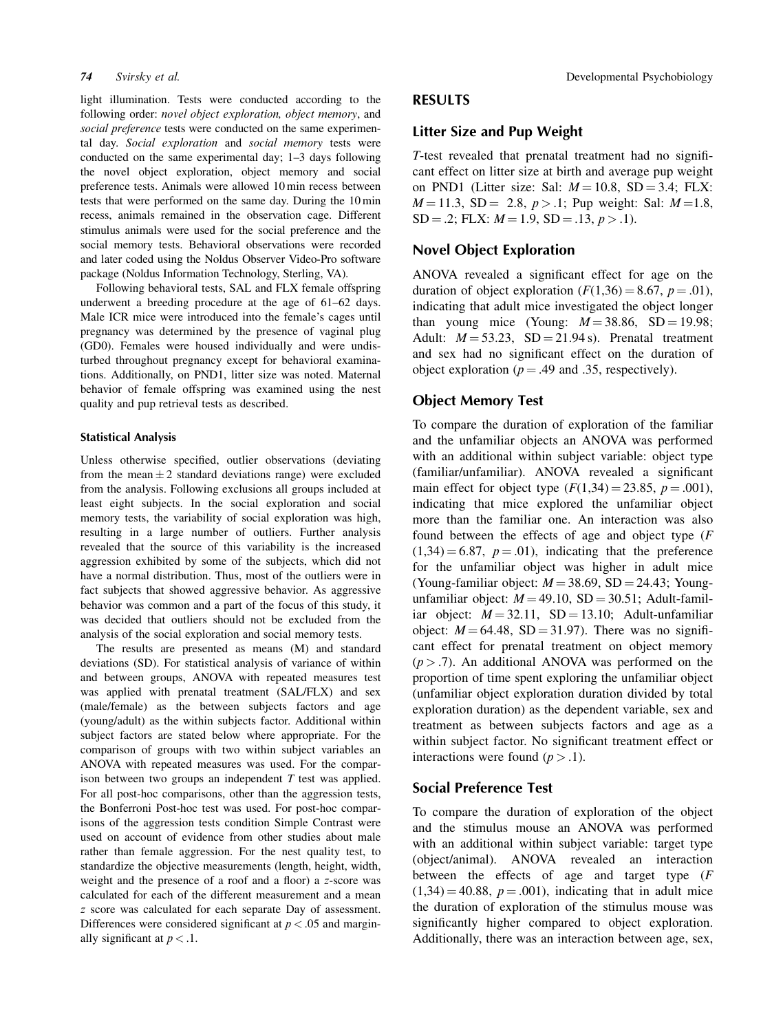light illumination. Tests were conducted according to the following order: *novel object exploration, object memory*, and social preference tests were conducted on the same experimental day. Social exploration and social memory tests were conducted on the same experimental day; 1–3 days following the novel object exploration, object memory and social preference tests. Animals were allowed 10 min recess between tests that were performed on the same day. During the 10 min recess, animals remained in the observation cage. Different stimulus animals were used for the social preference and the social memory tests. Behavioral observations were recorded and later coded using the Noldus Observer Video-Pro software package (Noldus Information Technology, Sterling, VA).

Following behavioral tests, SAL and FLX female offspring underwent a breeding procedure at the age of 61–62 days. Male ICR mice were introduced into the female's cages until pregnancy was determined by the presence of vaginal plug (GD0). Females were housed individually and were undisturbed throughout pregnancy except for behavioral examinations. Additionally, on PND1, litter size was noted. Maternal behavior of female offspring was examined using the nest quality and pup retrieval tests as described.

#### Statistical Analysis

Unless otherwise specified, outlier observations (deviating from the mean  $\pm 2$  standard deviations range) were excluded from the analysis. Following exclusions all groups included at least eight subjects. In the social exploration and social memory tests, the variability of social exploration was high, resulting in a large number of outliers. Further analysis revealed that the source of this variability is the increased aggression exhibited by some of the subjects, which did not have a normal distribution. Thus, most of the outliers were in fact subjects that showed aggressive behavior. As aggressive behavior was common and a part of the focus of this study, it was decided that outliers should not be excluded from the analysis of the social exploration and social memory tests.

The results are presented as means (M) and standard deviations (SD). For statistical analysis of variance of within and between groups, ANOVA with repeated measures test was applied with prenatal treatment (SAL/FLX) and sex (male/female) as the between subjects factors and age (young/adult) as the within subjects factor. Additional within subject factors are stated below where appropriate. For the comparison of groups with two within subject variables an ANOVA with repeated measures was used. For the comparison between two groups an independent T test was applied. For all post-hoc comparisons, other than the aggression tests, the Bonferroni Post-hoc test was used. For post-hoc comparisons of the aggression tests condition Simple Contrast were used on account of evidence from other studies about male rather than female aggression. For the nest quality test, to standardize the objective measurements (length, height, width, weight and the presence of a roof and a floor) a z-score was calculated for each of the different measurement and a mean z score was calculated for each separate Day of assessment. Differences were considered significant at  $p < .05$  and marginally significant at  $p < 0.1$ .

#### RESULTS

### Litter Size and Pup Weight

T-test revealed that prenatal treatment had no significant effect on litter size at birth and average pup weight on PND1 (Litter size: Sal:  $M = 10.8$ , SD = 3.4; FLX:  $M = 11.3$ , SD = 2.8,  $p > 0.1$ ; Pup weight: Sal:  $M = 1.8$ ,  $SD = .2$ ; FLX:  $M = 1.9$ ,  $SD = .13$ ,  $p > .1$ ).

#### Novel Object Exploration

ANOVA revealed a significant effect for age on the duration of object exploration  $(F(1,36) = 8.67, p = .01)$ , indicating that adult mice investigated the object longer than young mice (Young:  $M = 38.86$ , SD = 19.98; Adult:  $M = 53.23$ ,  $SD = 21.94$  s). Prenatal treatment and sex had no significant effect on the duration of object exploration ( $p = .49$  and .35, respectively).

#### Object Memory Test

To compare the duration of exploration of the familiar and the unfamiliar objects an ANOVA was performed with an additional within subject variable: object type (familiar/unfamiliar). ANOVA revealed a significant main effect for object type  $(F(1,34) = 23.85, p = .001)$ , indicating that mice explored the unfamiliar object more than the familiar one. An interaction was also found between the effects of age and object type  $(F)$  $(1,34) = 6.87$ ,  $p = .01$ ), indicating that the preference for the unfamiliar object was higher in adult mice (Young-familiar object:  $M = 38.69$ , SD = 24.43; Youngunfamiliar object:  $M = 49.10$ , SD = 30.51; Adult-familiar object:  $M = 32.11$ , SD = 13.10; Adult-unfamiliar object:  $M = 64.48$ , SD = 31.97). There was no significant effect for prenatal treatment on object memory  $(p > .7)$ . An additional ANOVA was performed on the proportion of time spent exploring the unfamiliar object (unfamiliar object exploration duration divided by total exploration duration) as the dependent variable, sex and treatment as between subjects factors and age as a within subject factor. No significant treatment effect or interactions were found  $(p > .1)$ .

#### Social Preference Test

To compare the duration of exploration of the object and the stimulus mouse an ANOVA was performed with an additional within subject variable: target type (object/animal). ANOVA revealed an interaction between the effects of age and target type (F  $(1,34) = 40.88, p = .001$ , indicating that in adult mice the duration of exploration of the stimulus mouse was significantly higher compared to object exploration. Additionally, there was an interaction between age, sex,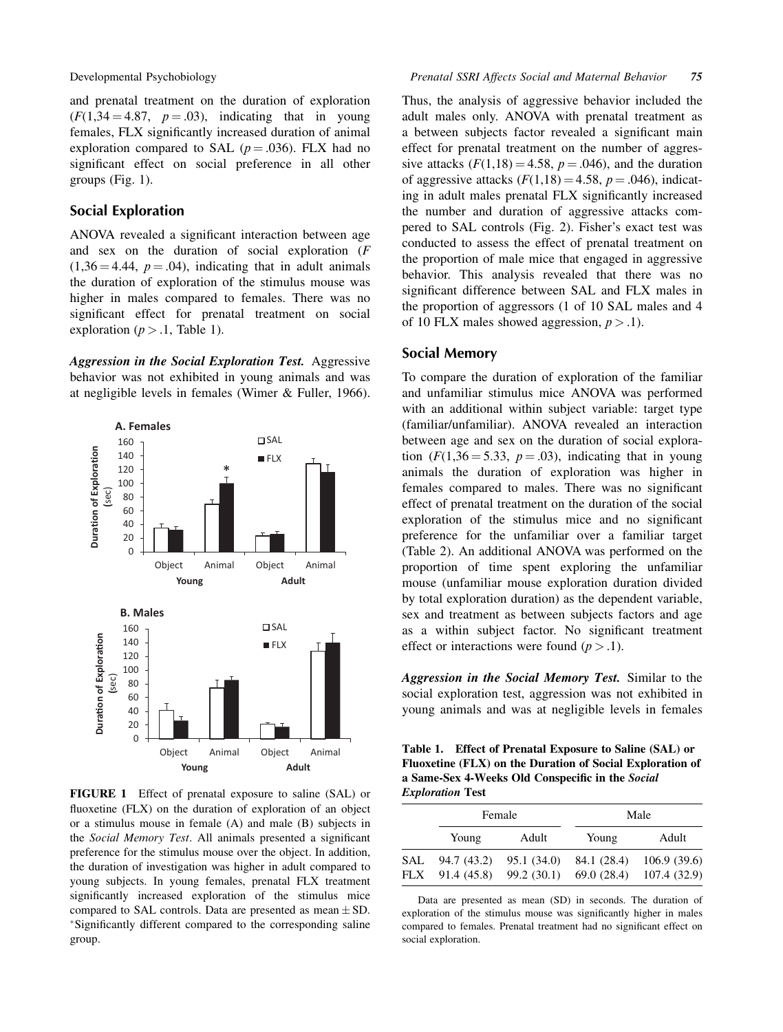and prenatal treatment on the duration of exploration  $(F(1,34 = 4.87, p = .03))$ , indicating that in young females, FLX significantly increased duration of animal exploration compared to SAL ( $p = .036$ ). FLX had no significant effect on social preference in all other groups (Fig. 1).

#### Social Exploration

ANOVA revealed a significant interaction between age and sex on the duration of social exploration (F  $(1,36 = 4.44, p = .04)$ , indicating that in adult animals the duration of exploration of the stimulus mouse was higher in males compared to females. There was no significant effect for prenatal treatment on social exploration ( $p > 0.1$ , Table 1).

Aggression in the Social Exploration Test. Aggressive behavior was not exhibited in young animals and was at negligible levels in females (Wimer & Fuller, 1966).



FIGURE 1 Effect of prenatal exposure to saline (SAL) or fluoxetine (FLX) on the duration of exploration of an object or a stimulus mouse in female (A) and male (B) subjects in the Social Memory Test. All animals presented a significant preference for the stimulus mouse over the object. In addition, the duration of investigation was higher in adult compared to young subjects. In young females, prenatal FLX treatment significantly increased exploration of the stimulus mice compared to SAL controls. Data are presented as mean  $\pm$  SD. \*Significantly different compared to the corresponding saline group.

Thus, the analysis of aggressive behavior included the adult males only. ANOVA with prenatal treatment as a between subjects factor revealed a significant main effect for prenatal treatment on the number of aggressive attacks  $(F(1,18) = 4.58, p = .046)$ , and the duration of aggressive attacks  $(F(1,18) = 4.58, p = .046)$ , indicating in adult males prenatal FLX significantly increased the number and duration of aggressive attacks compered to SAL controls (Fig. 2). Fisher's exact test was conducted to assess the effect of prenatal treatment on the proportion of male mice that engaged in aggressive behavior. This analysis revealed that there was no significant difference between SAL and FLX males in the proportion of aggressors (1 of 10 SAL males and 4 of 10 FLX males showed aggression,  $p > 0.1$ .

#### Social Memory

To compare the duration of exploration of the familiar and unfamiliar stimulus mice ANOVA was performed with an additional within subject variable: target type (familiar/unfamiliar). ANOVA revealed an interaction between age and sex on the duration of social exploration  $(F(1,36 = 5.33, p = .03))$ , indicating that in young animals the duration of exploration was higher in females compared to males. There was no significant effect of prenatal treatment on the duration of the social exploration of the stimulus mice and no significant preference for the unfamiliar over a familiar target (Table 2). An additional ANOVA was performed on the proportion of time spent exploring the unfamiliar mouse (unfamiliar mouse exploration duration divided by total exploration duration) as the dependent variable, sex and treatment as between subjects factors and age as a within subject factor. No significant treatment effect or interactions were found  $(p > 0.1)$ .

Aggression in the Social Memory Test. Similar to the social exploration test, aggression was not exhibited in young animals and was at negligible levels in females

Table 1. Effect of Prenatal Exposure to Saline (SAL) or Fluoxetine (FLX) on the Duration of Social Exploration of a Same-Sex 4-Weeks Old Conspecific in the Social Exploration Test

|                   | Female                     |                            | Male                      |                             |
|-------------------|----------------------------|----------------------------|---------------------------|-----------------------------|
|                   | Young                      | Adult                      | Young                     | Adult                       |
| SAL<br><b>FLX</b> | 94.7 (43.2)<br>91.4 (45.8) | 95.1 (34.0)<br>99.2 (30.1) | 84.1 (28.4)<br>69.0(28.4) | 106.9(39.6)<br>107.4 (32.9) |

Data are presented as mean (SD) in seconds. The duration of exploration of the stimulus mouse was significantly higher in males compared to females. Prenatal treatment had no significant effect on social exploration.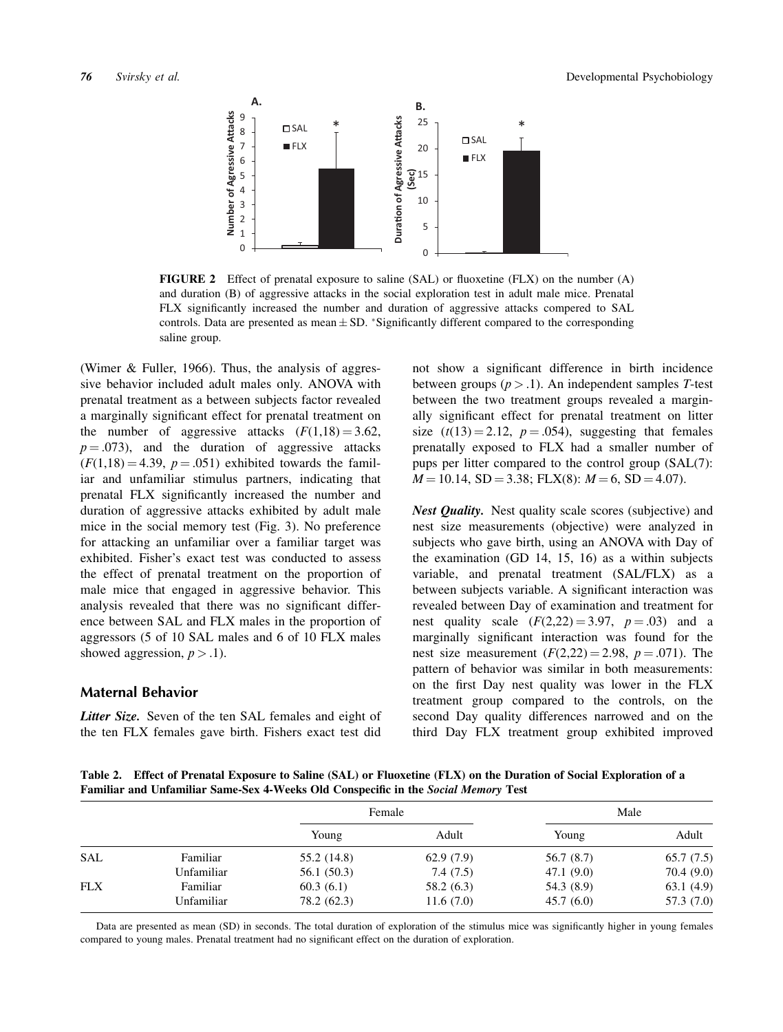

FIGURE 2 Effect of prenatal exposure to saline (SAL) or fluoxetine (FLX) on the number (A) and duration (B) of aggressive attacks in the social exploration test in adult male mice. Prenatal FLX significantly increased the number and duration of aggressive attacks compered to SAL controls. Data are presented as mean  $\pm$  SD. \*Significantly different compared to the corresponding saline group.

(Wimer & Fuller, 1966). Thus, the analysis of aggressive behavior included adult males only. ANOVA with prenatal treatment as a between subjects factor revealed a marginally significant effect for prenatal treatment on the number of aggressive attacks  $(F(1,18) = 3.62)$ ,  $p = .073$ ), and the duration of aggressive attacks  $(F(1,18) = 4.39, p = .051)$  exhibited towards the familiar and unfamiliar stimulus partners, indicating that prenatal FLX significantly increased the number and duration of aggressive attacks exhibited by adult male mice in the social memory test (Fig. 3). No preference for attacking an unfamiliar over a familiar target was exhibited. Fisher's exact test was conducted to assess the effect of prenatal treatment on the proportion of male mice that engaged in aggressive behavior. This analysis revealed that there was no significant difference between SAL and FLX males in the proportion of aggressors (5 of 10 SAL males and 6 of 10 FLX males showed aggression,  $p > .1$ ).

#### Maternal Behavior

Litter Size. Seven of the ten SAL females and eight of the ten FLX females gave birth. Fishers exact test did

not show a significant difference in birth incidence between groups ( $p > 0.1$ ). An independent samples T-test between the two treatment groups revealed a marginally significant effect for prenatal treatment on litter size  $(t(13) = 2.12, p = .054)$ , suggesting that females prenatally exposed to FLX had a smaller number of pups per litter compared to the control group (SAL(7):  $M = 10.14$ , SD = 3.38; FLX(8):  $M = 6$ , SD = 4.07).

Nest Quality. Nest quality scale scores (subjective) and nest size measurements (objective) were analyzed in subjects who gave birth, using an ANOVA with Day of the examination (GD 14, 15, 16) as a within subjects variable, and prenatal treatment (SAL/FLX) as a between subjects variable. A significant interaction was revealed between Day of examination and treatment for nest quality scale  $(F(2,22) = 3.97, p = .03)$  and a marginally significant interaction was found for the nest size measurement  $(F(2,22) = 2.98, p = .071)$ . The pattern of behavior was similar in both measurements: on the first Day nest quality was lower in the FLX treatment group compared to the controls, on the second Day quality differences narrowed and on the third Day FLX treatment group exhibited improved

Table 2. Effect of Prenatal Exposure to Saline (SAL) or Fluoxetine (FLX) on the Duration of Social Exploration of a Familiar and Unfamiliar Same-Sex 4-Weeks Old Conspecific in the Social Memory Test

|            |            | Female      |            | Male       |            |
|------------|------------|-------------|------------|------------|------------|
|            |            | Young       | Adult      | Young      | Adult      |
| <b>SAL</b> | Familiar   | 55.2 (14.8) | 62.9(7.9)  | 56.7(8.7)  | 65.7(7.5)  |
|            | Unfamiliar | 56.1 (50.3) | 7.4(7.5)   | 47.1(9.0)  | 70.4(9.0)  |
| <b>FLX</b> | Familiar   | 60.3(6.1)   | 58.2 (6.3) | 54.3 (8.9) | 63.1(4.9)  |
|            | Unfamiliar | 78.2 (62.3) | 11.6(7.0)  | 45.7(6.0)  | 57.3 (7.0) |

Data are presented as mean (SD) in seconds. The total duration of exploration of the stimulus mice was significantly higher in young females compared to young males. Prenatal treatment had no significant effect on the duration of exploration.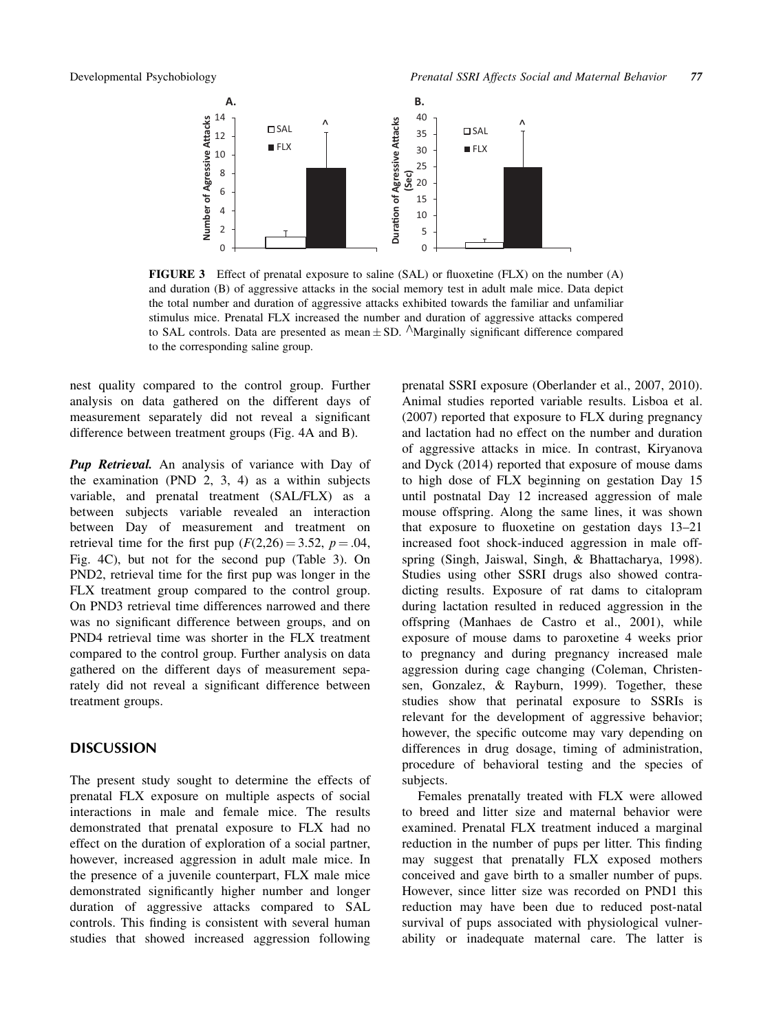

FIGURE 3 Effect of prenatal exposure to saline (SAL) or fluoxetine (FLX) on the number (A) and duration (B) of aggressive attacks in the social memory test in adult male mice. Data depict the total number and duration of aggressive attacks exhibited towards the familiar and unfamiliar stimulus mice. Prenatal FLX increased the number and duration of aggressive attacks compered to SAL controls. Data are presented as mean  $\pm$  SD.  $\wedge$ Marginally significant difference compared to the corresponding saline group.

nest quality compared to the control group. Further analysis on data gathered on the different days of measurement separately did not reveal a significant difference between treatment groups (Fig. 4A and B).

Pup Retrieval. An analysis of variance with Day of the examination (PND 2, 3, 4) as a within subjects variable, and prenatal treatment (SAL/FLX) as a between subjects variable revealed an interaction between Day of measurement and treatment on retrieval time for the first pup  $(F(2,26) = 3.52, p = .04,$ Fig. 4C), but not for the second pup (Table 3). On PND2, retrieval time for the first pup was longer in the FLX treatment group compared to the control group. On PND3 retrieval time differences narrowed and there was no significant difference between groups, and on PND4 retrieval time was shorter in the FLX treatment compared to the control group. Further analysis on data gathered on the different days of measurement separately did not reveal a significant difference between treatment groups.

### **DISCUSSION**

The present study sought to determine the effects of prenatal FLX exposure on multiple aspects of social interactions in male and female mice. The results demonstrated that prenatal exposure to FLX had no effect on the duration of exploration of a social partner, however, increased aggression in adult male mice. In the presence of a juvenile counterpart, FLX male mice demonstrated significantly higher number and longer duration of aggressive attacks compared to SAL controls. This finding is consistent with several human studies that showed increased aggression following

prenatal SSRI exposure (Oberlander et al., 2007, 2010). Animal studies reported variable results. Lisboa et al. (2007) reported that exposure to FLX during pregnancy and lactation had no effect on the number and duration of aggressive attacks in mice. In contrast, Kiryanova and Dyck (2014) reported that exposure of mouse dams to high dose of FLX beginning on gestation Day 15 until postnatal Day 12 increased aggression of male mouse offspring. Along the same lines, it was shown that exposure to fluoxetine on gestation days 13–21 increased foot shock-induced aggression in male offspring (Singh, Jaiswal, Singh, & Bhattacharya, 1998). Studies using other SSRI drugs also showed contradicting results. Exposure of rat dams to citalopram during lactation resulted in reduced aggression in the offspring (Manhaes de Castro et al., 2001), while exposure of mouse dams to paroxetine 4 weeks prior to pregnancy and during pregnancy increased male aggression during cage changing (Coleman, Christensen, Gonzalez, & Rayburn, 1999). Together, these studies show that perinatal exposure to SSRIs is relevant for the development of aggressive behavior; however, the specific outcome may vary depending on differences in drug dosage, timing of administration, procedure of behavioral testing and the species of subjects.

Females prenatally treated with FLX were allowed to breed and litter size and maternal behavior were examined. Prenatal FLX treatment induced a marginal reduction in the number of pups per litter. This finding may suggest that prenatally FLX exposed mothers conceived and gave birth to a smaller number of pups. However, since litter size was recorded on PND1 this reduction may have been due to reduced post-natal survival of pups associated with physiological vulnerability or inadequate maternal care. The latter is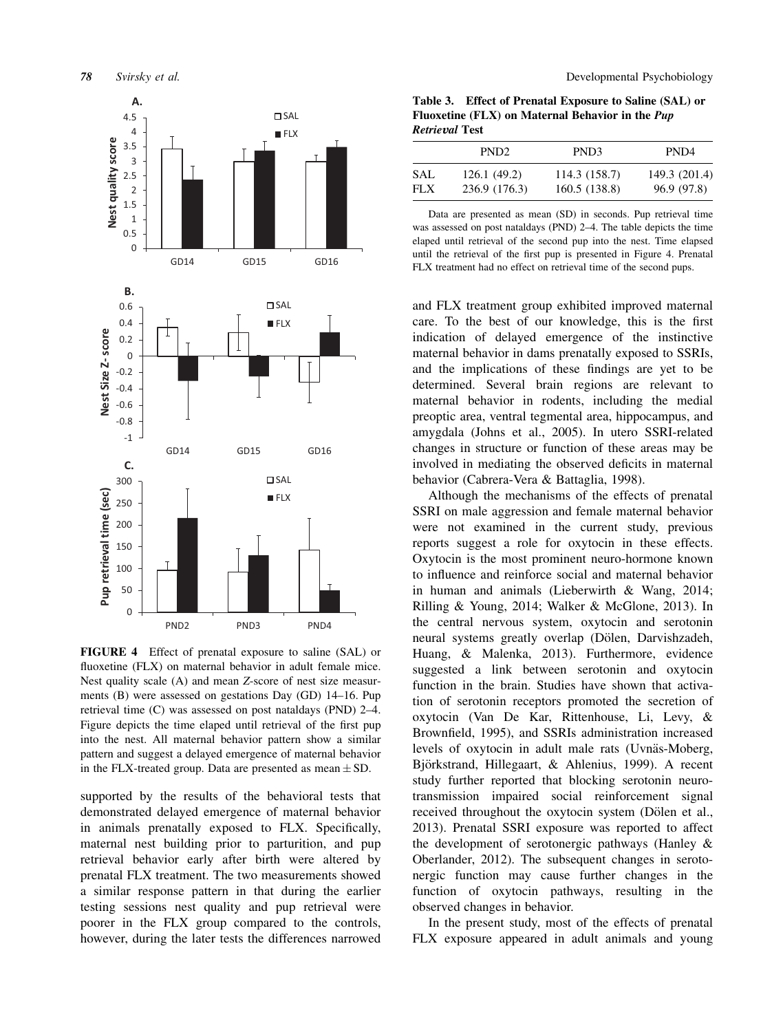

FIGURE 4 Effect of prenatal exposure to saline (SAL) or fluoxetine (FLX) on maternal behavior in adult female mice. Nest quality scale (A) and mean Z-score of nest size measurments (B) were assessed on gestations Day (GD) 14–16. Pup retrieval time (C) was assessed on post nataldays (PND) 2–4. Figure depicts the time elaped until retrieval of the first pup into the nest. All maternal behavior pattern show a similar pattern and suggest a delayed emergence of maternal behavior in the FLX-treated group. Data are presented as mean  $\pm$  SD.

supported by the results of the behavioral tests that demonstrated delayed emergence of maternal behavior in animals prenatally exposed to FLX. Specifically, maternal nest building prior to parturition, and pup retrieval behavior early after birth were altered by prenatal FLX treatment. The two measurements showed a similar response pattern in that during the earlier testing sessions nest quality and pup retrieval were poorer in the FLX group compared to the controls, however, during the later tests the differences narrowed

Table 3. Effect of Prenatal Exposure to Saline (SAL) or Fluoxetine (FLX) on Maternal Behavior in the Pup Retrieval Test

|      | PND <sub>2</sub> | PND <sub>3</sub> | PND4          |
|------|------------------|------------------|---------------|
| SAL  | 126.1(49.2)      | 114.3 (158.7)    | 149.3 (201.4) |
| FLX. | 236.9 (176.3)    | 160.5 (138.8)    | 96.9 (97.8)   |

Data are presented as mean (SD) in seconds. Pup retrieval time was assessed on post nataldays (PND) 2–4. The table depicts the time elaped until retrieval of the second pup into the nest. Time elapsed until the retrieval of the first pup is presented in Figure 4. Prenatal FLX treatment had no effect on retrieval time of the second pups.

and FLX treatment group exhibited improved maternal care. To the best of our knowledge, this is the first indication of delayed emergence of the instinctive maternal behavior in dams prenatally exposed to SSRIs, and the implications of these findings are yet to be determined. Several brain regions are relevant to maternal behavior in rodents, including the medial preoptic area, ventral tegmental area, hippocampus, and amygdala (Johns et al., 2005). In utero SSRI-related changes in structure or function of these areas may be involved in mediating the observed deficits in maternal behavior (Cabrera-Vera & Battaglia, 1998).

Although the mechanisms of the effects of prenatal SSRI on male aggression and female maternal behavior were not examined in the current study, previous reports suggest a role for oxytocin in these effects. Oxytocin is the most prominent neuro-hormone known to influence and reinforce social and maternal behavior in human and animals (Lieberwirth & Wang, 2014; Rilling & Young, 2014; Walker & McGlone, 2013). In the central nervous system, oxytocin and serotonin neural systems greatly overlap (Dölen, Darvishzadeh, Huang, & Malenka, 2013). Furthermore, evidence suggested a link between serotonin and oxytocin function in the brain. Studies have shown that activation of serotonin receptors promoted the secretion of oxytocin (Van De Kar, Rittenhouse, Li, Levy, & Brownfield, 1995), and SSRIs administration increased levels of oxytocin in adult male rats (Uvnäs-Moberg, Björkstrand, Hillegaart, & Ahlenius, 1999). A recent study further reported that blocking serotonin neurotransmission impaired social reinforcement signal received throughout the oxytocin system (Dölen et al., 2013). Prenatal SSRI exposure was reported to affect the development of serotonergic pathways (Hanley & Oberlander, 2012). The subsequent changes in serotonergic function may cause further changes in the function of oxytocin pathways, resulting in the observed changes in behavior.

In the present study, most of the effects of prenatal FLX exposure appeared in adult animals and young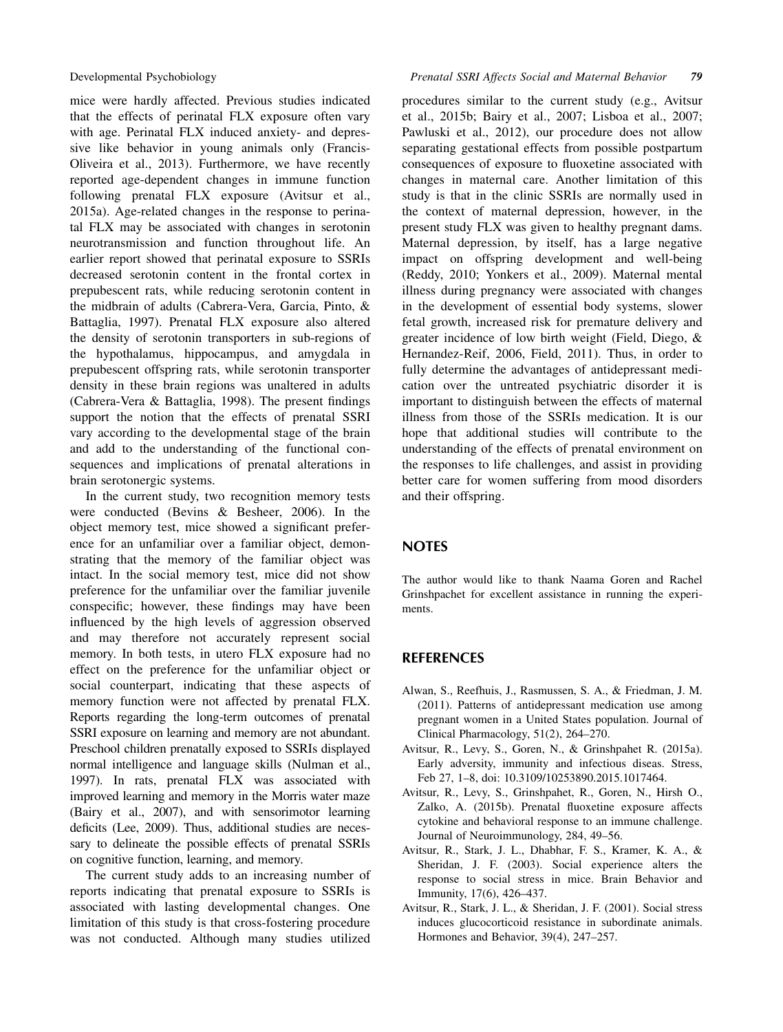mice were hardly affected. Previous studies indicated that the effects of perinatal FLX exposure often vary with age. Perinatal FLX induced anxiety- and depressive like behavior in young animals only (Francis-Oliveira et al., 2013). Furthermore, we have recently reported age-dependent changes in immune function following prenatal FLX exposure (Avitsur et al., 2015a). Age-related changes in the response to perinatal FLX may be associated with changes in serotonin neurotransmission and function throughout life. An earlier report showed that perinatal exposure to SSRIs decreased serotonin content in the frontal cortex in prepubescent rats, while reducing serotonin content in the midbrain of adults (Cabrera-Vera, Garcia, Pinto, & Battaglia, 1997). Prenatal FLX exposure also altered the density of serotonin transporters in sub-regions of the hypothalamus, hippocampus, and amygdala in prepubescent offspring rats, while serotonin transporter density in these brain regions was unaltered in adults (Cabrera-Vera & Battaglia, 1998). The present findings support the notion that the effects of prenatal SSRI vary according to the developmental stage of the brain and add to the understanding of the functional consequences and implications of prenatal alterations in brain serotonergic systems.

In the current study, two recognition memory tests were conducted (Bevins & Besheer, 2006). In the object memory test, mice showed a significant preference for an unfamiliar over a familiar object, demonstrating that the memory of the familiar object was intact. In the social memory test, mice did not show preference for the unfamiliar over the familiar juvenile conspecific; however, these findings may have been influenced by the high levels of aggression observed and may therefore not accurately represent social memory. In both tests, in utero FLX exposure had no effect on the preference for the unfamiliar object or social counterpart, indicating that these aspects of memory function were not affected by prenatal FLX. Reports regarding the long-term outcomes of prenatal SSRI exposure on learning and memory are not abundant. Preschool children prenatally exposed to SSRIs displayed normal intelligence and language skills (Nulman et al., 1997). In rats, prenatal FLX was associated with improved learning and memory in the Morris water maze (Bairy et al., 2007), and with sensorimotor learning deficits (Lee, 2009). Thus, additional studies are necessary to delineate the possible effects of prenatal SSRIs on cognitive function, learning, and memory.

The current study adds to an increasing number of reports indicating that prenatal exposure to SSRIs is associated with lasting developmental changes. One limitation of this study is that cross-fostering procedure was not conducted. Although many studies utilized procedures similar to the current study (e.g., Avitsur et al., 2015b; Bairy et al., 2007; Lisboa et al., 2007; Pawluski et al., 2012), our procedure does not allow separating gestational effects from possible postpartum consequences of exposure to fluoxetine associated with changes in maternal care. Another limitation of this study is that in the clinic SSRIs are normally used in the context of maternal depression, however, in the present study FLX was given to healthy pregnant dams. Maternal depression, by itself, has a large negative impact on offspring development and well-being (Reddy, 2010; Yonkers et al., 2009). Maternal mental illness during pregnancy were associated with changes in the development of essential body systems, slower fetal growth, increased risk for premature delivery and greater incidence of low birth weight (Field, Diego, & Hernandez-Reif, 2006, Field, 2011). Thus, in order to fully determine the advantages of antidepressant medication over the untreated psychiatric disorder it is important to distinguish between the effects of maternal illness from those of the SSRIs medication. It is our hope that additional studies will contribute to the understanding of the effects of prenatal environment on the responses to life challenges, and assist in providing better care for women suffering from mood disorders and their offspring.

### **NOTES**

The author would like to thank Naama Goren and Rachel Grinshpachet for excellent assistance in running the experiments.

### REFERENCES

- Alwan, S., Reefhuis, J., Rasmussen, S. A., & Friedman, J. M. (2011). Patterns of antidepressant medication use among pregnant women in a United States population. Journal of Clinical Pharmacology, 51(2), 264–270.
- Avitsur, R., Levy, S., Goren, N., & Grinshpahet R. (2015a). Early adversity, immunity and infectious diseas. Stress, Feb 27, 1–8, doi: 10.3109/10253890.2015.1017464.
- Avitsur, R., Levy, S., Grinshpahet, R., Goren, N., Hirsh O., Zalko, A. (2015b). Prenatal fluoxetine exposure affects cytokine and behavioral response to an immune challenge. Journal of Neuroimmunology, 284, 49–56.
- Avitsur, R., Stark, J. L., Dhabhar, F. S., Kramer, K. A., & Sheridan, J. F. (2003). Social experience alters the response to social stress in mice. Brain Behavior and Immunity, 17(6), 426–437.
- Avitsur, R., Stark, J. L., & Sheridan, J. F. (2001). Social stress induces glucocorticoid resistance in subordinate animals. Hormones and Behavior, 39(4), 247–257.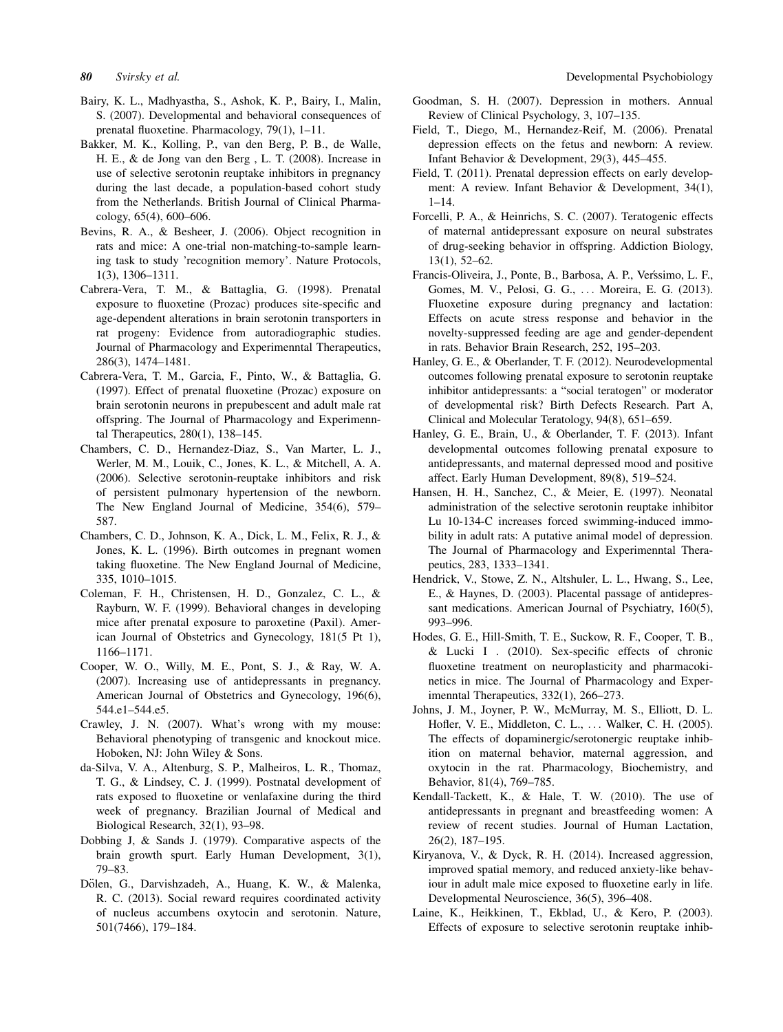- Bairy, K. L., Madhyastha, S., Ashok, K. P., Bairy, I., Malin, S. (2007). Developmental and behavioral consequences of prenatal fluoxetine. Pharmacology, 79(1), 1–11.
- Bakker, M. K., Kolling, P., van den Berg, P. B., de Walle, H. E., & de Jong van den Berg , L. T. (2008). Increase in use of selective serotonin reuptake inhibitors in pregnancy during the last decade, a population-based cohort study from the Netherlands. British Journal of Clinical Pharmacology, 65(4), 600–606.
- Bevins, R. A., & Besheer, J. (2006). Object recognition in rats and mice: A one-trial non-matching-to-sample learning task to study 'recognition memory'. Nature Protocols, 1(3), 1306–1311.
- Cabrera-Vera, T. M., & Battaglia, G. (1998). Prenatal exposure to fluoxetine (Prozac) produces site-specific and age-dependent alterations in brain serotonin transporters in rat progeny: Evidence from autoradiographic studies. Journal of Pharmacology and Experimenntal Therapeutics, 286(3), 1474–1481.
- Cabrera-Vera, T. M., Garcia, F., Pinto, W., & Battaglia, G. (1997). Effect of prenatal fluoxetine (Prozac) exposure on brain serotonin neurons in prepubescent and adult male rat offspring. The Journal of Pharmacology and Experimenntal Therapeutics, 280(1), 138–145.
- Chambers, C. D., Hernandez-Diaz, S., Van Marter, L. J., Werler, M. M., Louik, C., Jones, K. L., & Mitchell, A. A. (2006). Selective serotonin-reuptake inhibitors and risk of persistent pulmonary hypertension of the newborn. The New England Journal of Medicine, 354(6), 579– 587.
- Chambers, C. D., Johnson, K. A., Dick, L. M., Felix, R. J., & Jones, K. L. (1996). Birth outcomes in pregnant women taking fluoxetine. The New England Journal of Medicine, 335, 1010–1015.
- Coleman, F. H., Christensen, H. D., Gonzalez, C. L., & Rayburn, W. F. (1999). Behavioral changes in developing mice after prenatal exposure to paroxetine (Paxil). American Journal of Obstetrics and Gynecology, 181(5 Pt 1), 1166–1171.
- Cooper, W. O., Willy, M. E., Pont, S. J., & Ray, W. A. (2007). Increasing use of antidepressants in pregnancy. American Journal of Obstetrics and Gynecology, 196(6), 544.e1–544.e5.
- Crawley, J. N. (2007). What's wrong with my mouse: Behavioral phenotyping of transgenic and knockout mice. Hoboken, NJ: John Wiley & Sons.
- da-Silva, V. A., Altenburg, S. P., Malheiros, L. R., Thomaz, T. G., & Lindsey, C. J. (1999). Postnatal development of rats exposed to fluoxetine or venlafaxine during the third week of pregnancy. Brazilian Journal of Medical and Biological Research, 32(1), 93–98.
- Dobbing J, & Sands J. (1979). Comparative aspects of the brain growth spurt. Early Human Development, 3(1), 79–83.
- Dölen, G., Darvishzadeh, A., Huang, K. W., & Malenka, R. C. (2013). Social reward requires coordinated activity of nucleus accumbens oxytocin and serotonin. Nature, 501(7466), 179–184.
- Goodman, S. H. (2007). Depression in mothers. Annual Review of Clinical Psychology, 3, 107–135.
- Field, T., Diego, M., Hernandez-Reif, M. (2006). Prenatal depression effects on the fetus and newborn: A review. Infant Behavior & Development, 29(3), 445–455.
- Field, T. (2011). Prenatal depression effects on early development: A review. Infant Behavior & Development, 34(1),  $1 - 14.$
- Forcelli, P. A., & Heinrichs, S. C. (2007). Teratogenic effects of maternal antidepressant exposure on neural substrates of drug-seeking behavior in offspring. Addiction Biology, 13(1), 52–62.
- Francis-Oliveira, J., Ponte, B., Barbosa, A. P., Veríssimo, L. F., Gomes, M. V., Pelosi, G. G., ... Moreira, E. G. (2013). Fluoxetine exposure during pregnancy and lactation: Effects on acute stress response and behavior in the novelty-suppressed feeding are age and gender-dependent in rats. Behavior Brain Research, 252, 195–203.
- Hanley, G. E., & Oberlander, T. F. (2012). Neurodevelopmental outcomes following prenatal exposure to serotonin reuptake inhibitor antidepressants: a "social teratogen" or moderator of developmental risk? Birth Defects Research. Part A, Clinical and Molecular Teratology, 94(8), 651–659.
- Hanley, G. E., Brain, U., & Oberlander, T. F. (2013). Infant developmental outcomes following prenatal exposure to antidepressants, and maternal depressed mood and positive affect. Early Human Development, 89(8), 519–524.
- Hansen, H. H., Sanchez, C., & Meier, E. (1997). Neonatal administration of the selective serotonin reuptake inhibitor Lu 10-134-C increases forced swimming-induced immobility in adult rats: A putative animal model of depression. The Journal of Pharmacology and Experimenntal Therapeutics, 283, 1333–1341.
- Hendrick, V., Stowe, Z. N., Altshuler, L. L., Hwang, S., Lee, E., & Haynes, D. (2003). Placental passage of antidepressant medications. American Journal of Psychiatry, 160(5), 993–996.
- Hodes, G. E., Hill-Smith, T. E., Suckow, R. F., Cooper, T. B., & Lucki I . (2010). Sex-specific effects of chronic fluoxetine treatment on neuroplasticity and pharmacokinetics in mice. The Journal of Pharmacology and Experimenntal Therapeutics, 332(1), 266–273.
- Johns, J. M., Joyner, P. W., McMurray, M. S., Elliott, D. L. Hofler, V. E., Middleton, C. L., ... Walker, C. H. (2005). The effects of dopaminergic/serotonergic reuptake inhibition on maternal behavior, maternal aggression, and oxytocin in the rat. Pharmacology, Biochemistry, and Behavior, 81(4), 769–785.
- Kendall-Tackett, K., & Hale, T. W. (2010). The use of antidepressants in pregnant and breastfeeding women: A review of recent studies. Journal of Human Lactation, 26(2), 187–195.
- Kiryanova, V., & Dyck, R. H. (2014). Increased aggression, improved spatial memory, and reduced anxiety-like behaviour in adult male mice exposed to fluoxetine early in life. Developmental Neuroscience, 36(5), 396–408.
- Laine, K., Heikkinen, T., Ekblad, U., & Kero, P. (2003). Effects of exposure to selective serotonin reuptake inhib-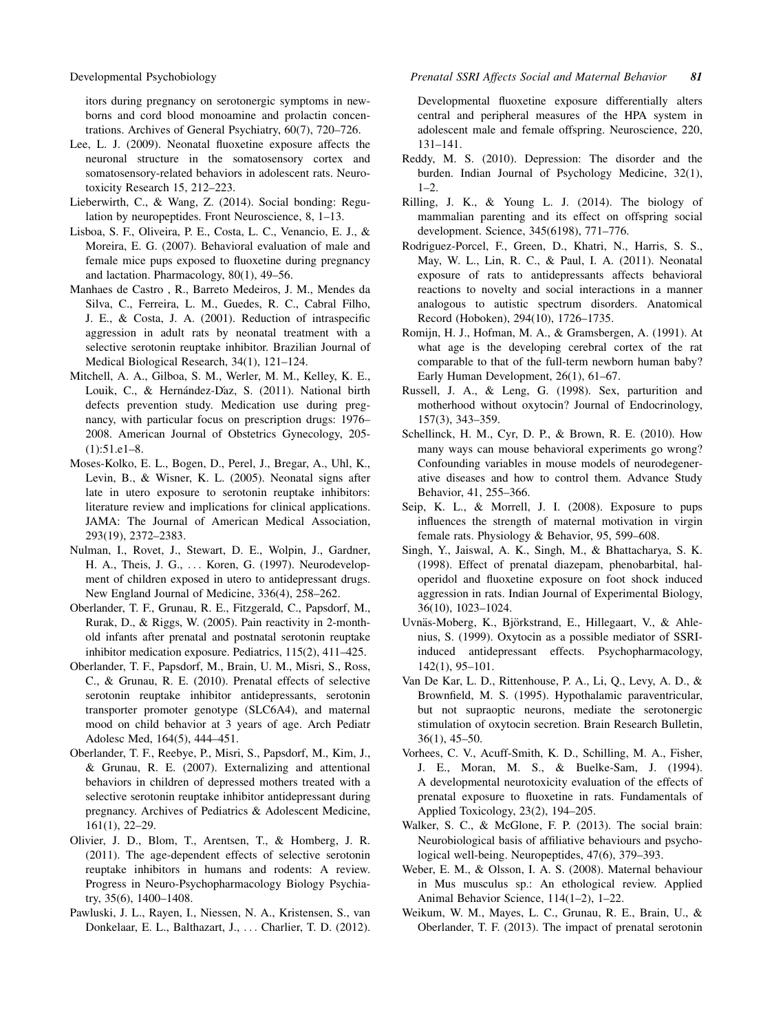itors during pregnancy on serotonergic symptoms in newborns and cord blood monoamine and prolactin concentrations. Archives of General Psychiatry, 60(7), 720–726.

- Lee, L. J. (2009). Neonatal fluoxetine exposure affects the neuronal structure in the somatosensory cortex and somatosensory-related behaviors in adolescent rats. Neurotoxicity Research 15, 212–223.
- Lieberwirth, C., & Wang, Z. (2014). Social bonding: Regulation by neuropeptides. Front Neuroscience, 8, 1–13.
- Lisboa, S. F., Oliveira, P. E., Costa, L. C., Venancio, E. J., & Moreira, E. G. (2007). Behavioral evaluation of male and female mice pups exposed to fluoxetine during pregnancy and lactation. Pharmacology, 80(1), 49–56.
- Manhaes de Castro , R., Barreto Medeiros, J. M., Mendes da Silva, C., Ferreira, L. M., Guedes, R. C., Cabral Filho, J. E., & Costa, J. A. (2001). Reduction of intraspecific aggression in adult rats by neonatal treatment with a selective serotonin reuptake inhibitor. Brazilian Journal of Medical Biological Research, 34(1), 121–124.
- Mitchell, A. A., Gilboa, S. M., Werler, M. M., Kelley, K. E., Louik, C., & Hernández-D´az, S. (2011). National birth defects prevention study. Medication use during pregnancy, with particular focus on prescription drugs: 1976– 2008. American Journal of Obstetrics Gynecology, 205- (1):51.e1–8.
- Moses-Kolko, E. L., Bogen, D., Perel, J., Bregar, A., Uhl, K., Levin, B., & Wisner, K. L. (2005). Neonatal signs after late in utero exposure to serotonin reuptake inhibitors: literature review and implications for clinical applications. JAMA: The Journal of American Medical Association, 293(19), 2372–2383.
- Nulman, I., Rovet, J., Stewart, D. E., Wolpin, J., Gardner, H. A., Theis, J. G., ... Koren, G. (1997). Neurodevelopment of children exposed in utero to antidepressant drugs. New England Journal of Medicine, 336(4), 258–262.
- Oberlander, T. F., Grunau, R. E., Fitzgerald, C., Papsdorf, M., Rurak, D., & Riggs, W. (2005). Pain reactivity in 2-monthold infants after prenatal and postnatal serotonin reuptake inhibitor medication exposure. Pediatrics, 115(2), 411–425.
- Oberlander, T. F., Papsdorf, M., Brain, U. M., Misri, S., Ross, C., & Grunau, R. E. (2010). Prenatal effects of selective serotonin reuptake inhibitor antidepressants, serotonin transporter promoter genotype (SLC6A4), and maternal mood on child behavior at 3 years of age. Arch Pediatr Adolesc Med, 164(5), 444–451.
- Oberlander, T. F., Reebye, P., Misri, S., Papsdorf, M., Kim, J., & Grunau, R. E. (2007). Externalizing and attentional behaviors in children of depressed mothers treated with a selective serotonin reuptake inhibitor antidepressant during pregnancy. Archives of Pediatrics & Adolescent Medicine, 161(1), 22–29.
- Olivier, J. D., Blom, T., Arentsen, T., & Homberg, J. R. (2011). The age-dependent effects of selective serotonin reuptake inhibitors in humans and rodents: A review. Progress in Neuro-Psychopharmacology Biology Psychiatry, 35(6), 1400–1408.
- Pawluski, J. L., Rayen, I., Niessen, N. A., Kristensen, S., van Donkelaar, E. L., Balthazart, J., ... Charlier, T. D. (2012).

Developmental fluoxetine exposure differentially alters central and peripheral measures of the HPA system in adolescent male and female offspring. Neuroscience, 220, 131–141.

- Reddy, M. S. (2010). Depression: The disorder and the burden. Indian Journal of Psychology Medicine, 32(1),  $1-2.$
- Rilling, J. K., & Young L. J. (2014). The biology of mammalian parenting and its effect on offspring social development. Science, 345(6198), 771–776.
- Rodriguez-Porcel, F., Green, D., Khatri, N., Harris, S. S., May, W. L., Lin, R. C., & Paul, I. A. (2011). Neonatal exposure of rats to antidepressants affects behavioral reactions to novelty and social interactions in a manner analogous to autistic spectrum disorders. Anatomical Record (Hoboken), 294(10), 1726–1735.
- Romijn, H. J., Hofman, M. A., & Gramsbergen, A. (1991). At what age is the developing cerebral cortex of the rat comparable to that of the full-term newborn human baby? Early Human Development, 26(1), 61–67.
- Russell, J. A., & Leng, G. (1998). Sex, parturition and motherhood without oxytocin? Journal of Endocrinology, 157(3), 343–359.
- Schellinck, H. M., Cyr, D. P., & Brown, R. E. (2010). How many ways can mouse behavioral experiments go wrong? Confounding variables in mouse models of neurodegenerative diseases and how to control them. Advance Study Behavior, 41, 255–366.
- Seip, K. L., & Morrell, J. I. (2008). Exposure to pups influences the strength of maternal motivation in virgin female rats. Physiology & Behavior, 95, 599–608.
- Singh, Y., Jaiswal, A. K., Singh, M., & Bhattacharya, S. K. (1998). Effect of prenatal diazepam, phenobarbital, haloperidol and fluoxetine exposure on foot shock induced aggression in rats. Indian Journal of Experimental Biology, 36(10), 1023–1024.
- Uvnäs-Moberg, K., Björkstrand, E., Hillegaart, V., & Ahlenius, S. (1999). Oxytocin as a possible mediator of SSRIinduced antidepressant effects. Psychopharmacology, 142(1), 95–101.
- Van De Kar, L. D., Rittenhouse, P. A., Li, Q., Levy, A. D., & Brownfield, M. S. (1995). Hypothalamic paraventricular, but not supraoptic neurons, mediate the serotonergic stimulation of oxytocin secretion. Brain Research Bulletin, 36(1), 45–50.
- Vorhees, C. V., Acuff-Smith, K. D., Schilling, M. A., Fisher, J. E., Moran, M. S., & Buelke-Sam, J. (1994). A developmental neurotoxicity evaluation of the effects of prenatal exposure to fluoxetine in rats. Fundamentals of Applied Toxicology, 23(2), 194–205.
- Walker, S. C., & McGlone, F. P. (2013). The social brain: Neurobiological basis of affiliative behaviours and psychological well-being. Neuropeptides, 47(6), 379–393.
- Weber, E. M., & Olsson, I. A. S. (2008). Maternal behaviour in Mus musculus sp.: An ethological review. Applied Animal Behavior Science, 114(1–2), 1–22.
- Weikum, W. M., Mayes, L. C., Grunau, R. E., Brain, U., & Oberlander, T. F. (2013). The impact of prenatal serotonin